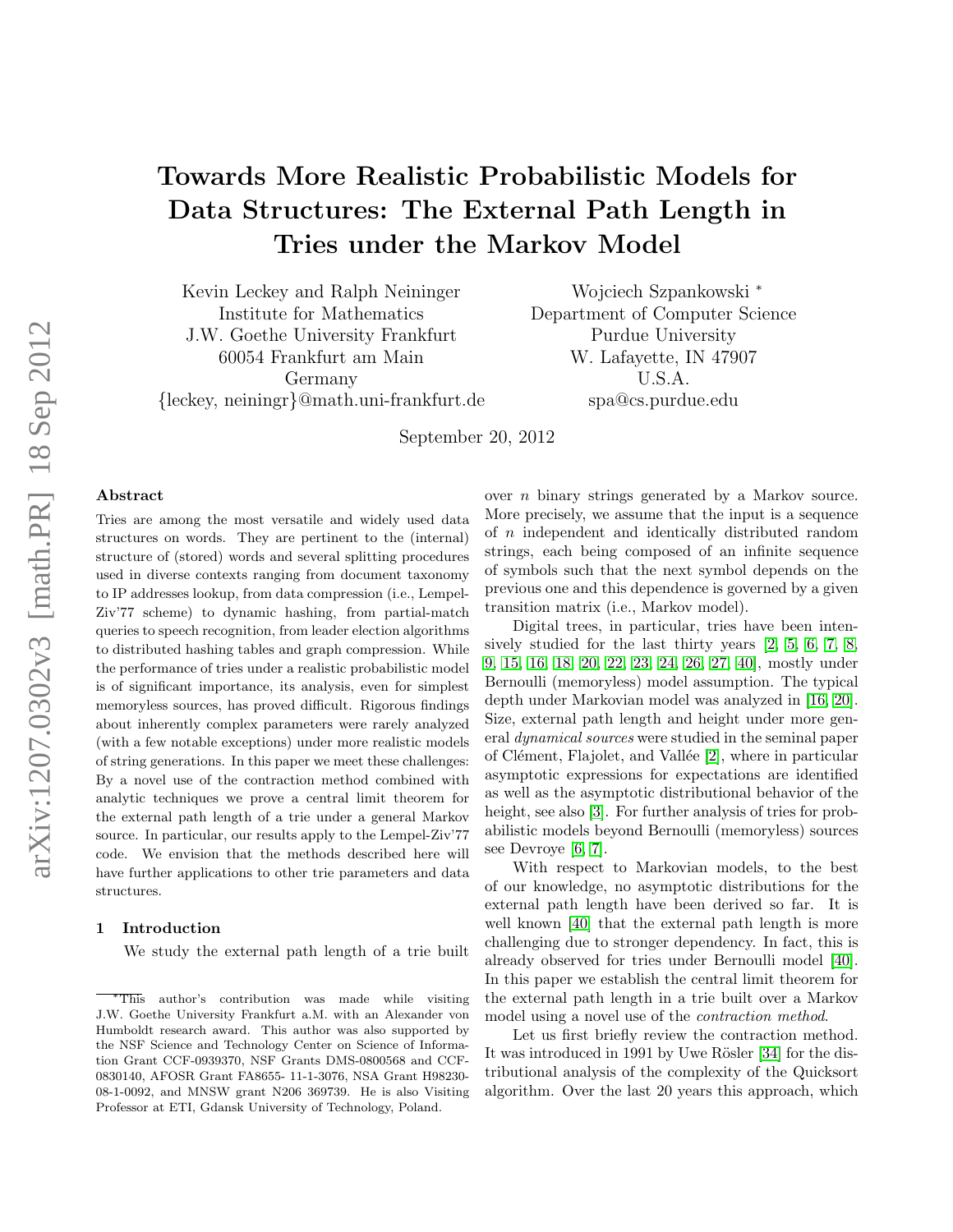# Towards More Realistic Probabilistic Models for Data Structures: The External Path Length in Tries under the Markov Model

Kevin Leckey and Ralph Neininger Institute for Mathematics J.W. Goethe University Frankfurt 60054 Frankfurt am Main Germany {leckey, neiningr}@math.uni-frankfurt.de

Wojciech Szpankowski <sup>∗</sup> Department of Computer Science Purdue University W. Lafayette, IN 47907 U.S.A. spa@cs.purdue.edu

September 20, 2012

# Abstract

Tries are among the most versatile and widely used data structures on words. They are pertinent to the (internal) structure of (stored) words and several splitting procedures used in diverse contexts ranging from document taxonomy to IP addresses lookup, from data compression (i.e., Lempel-Ziv'77 scheme) to dynamic hashing, from partial-match queries to speech recognition, from leader election algorithms to distributed hashing tables and graph compression. While the performance of tries under a realistic probabilistic model is of significant importance, its analysis, even for simplest memoryless sources, has proved difficult. Rigorous findings about inherently complex parameters were rarely analyzed (with a few notable exceptions) under more realistic models of string generations. In this paper we meet these challenges: By a novel use of the contraction method combined with analytic techniques we prove a central limit theorem for the external path length of a trie under a general Markov source. In particular, our results apply to the Lempel-Ziv'77 code. We envision that the methods described here will have further applications to other trie parameters and data structures.

## 1 Introduction

We study the external path length of a trie built

over n binary strings generated by a Markov source. More precisely, we assume that the input is a sequence of n independent and identically distributed random strings, each being composed of an infinite sequence of symbols such that the next symbol depends on the previous one and this dependence is governed by a given transition matrix (i.e., Markov model).

Digital trees, in particular, tries have been intensively studied for the last thirty years [\[2,](#page-8-0) [5,](#page-8-1) [6,](#page-8-2) [7,](#page-8-3) [8,](#page-8-4) [9,](#page-8-5) [15,](#page-9-0) [16,](#page-9-1) [18,](#page-9-2) [20,](#page-9-3) [22,](#page-9-4) [23,](#page-9-5) [24,](#page-9-6) [26,](#page-9-7) [27,](#page-9-8) [40\]](#page-9-9), mostly under Bernoulli (memoryless) model assumption. The typical depth under Markovian model was analyzed in [\[16,](#page-9-1) [20\]](#page-9-3). Size, external path length and height under more general dynamical sources were studied in the seminal paper of Clément, Flajolet, and Vallée [\[2\]](#page-8-0), where in particular asymptotic expressions for expectations are identified as well as the asymptotic distributional behavior of the height, see also [\[3\]](#page-8-6). For further analysis of tries for probabilistic models beyond Bernoulli (memoryless) sources see Devroye [\[6,](#page-8-2) [7\]](#page-8-3).

With respect to Markovian models, to the best of our knowledge, no asymptotic distributions for the external path length have been derived so far. It is well known [\[40\]](#page-9-9) that the external path length is more challenging due to stronger dependency. In fact, this is already observed for tries under Bernoulli model [\[40\]](#page-9-9). In this paper we establish the central limit theorem for the external path length in a trie built over a Markov model using a novel use of the contraction method.

Let us first briefly review the contraction method. It was introduced in 1991 by Uwe Rösler [\[34\]](#page-9-10) for the distributional analysis of the complexity of the Quicksort algorithm. Over the last 20 years this approach, which

<sup>∗</sup>This author's contribution was made while visiting J.W. Goethe University Frankfurt a.M. with an Alexander von Humboldt research award. This author was also supported by the NSF Science and Technology Center on Science of Information Grant CCF-0939370, NSF Grants DMS-0800568 and CCF-0830140, AFOSR Grant FA8655- 11-1-3076, NSA Grant H98230- 08-1-0092, and MNSW grant N206 369739. He is also Visiting Professor at ETI, Gdansk University of Technology, Poland.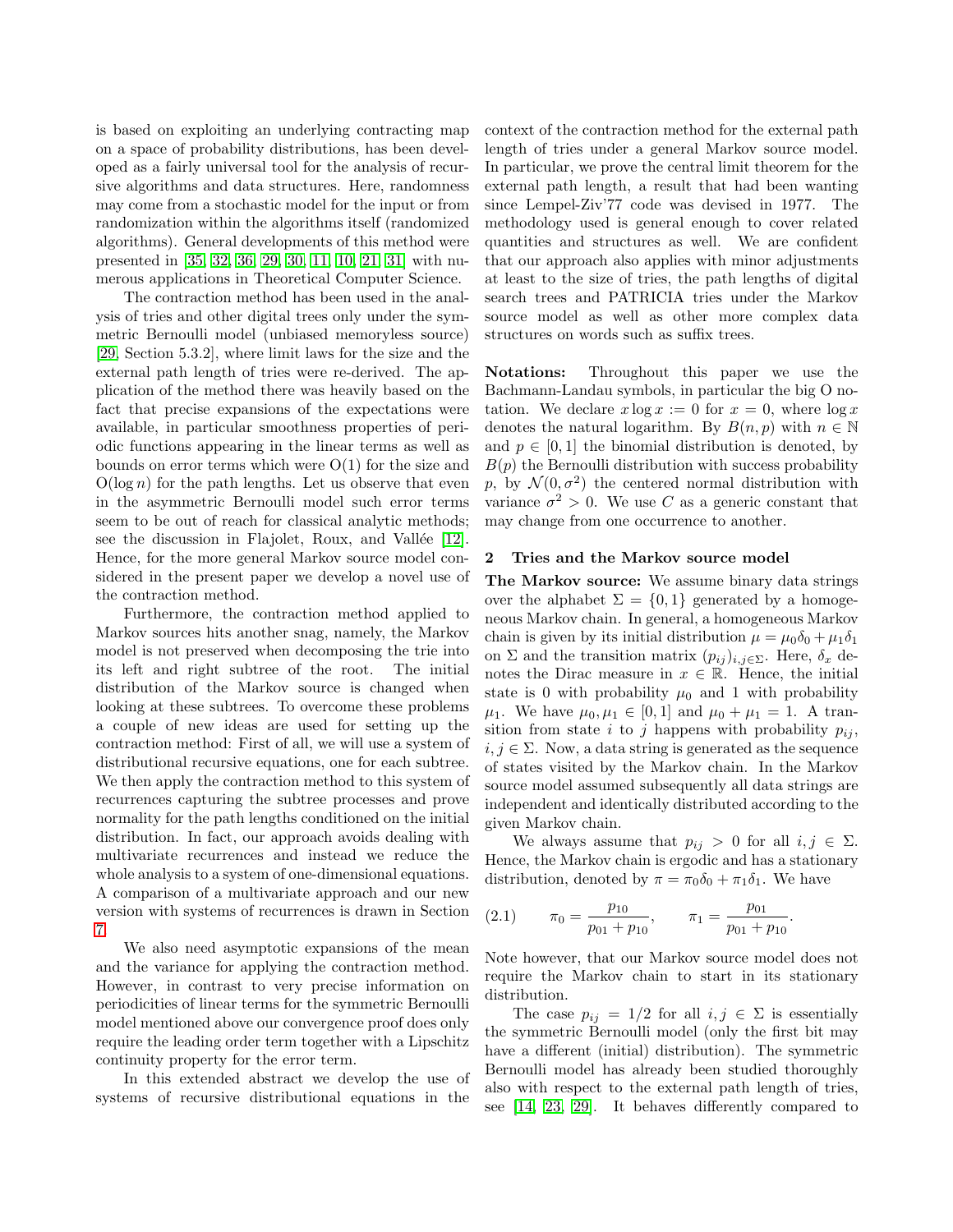is based on exploiting an underlying contracting map on a space of probability distributions, has been developed as a fairly universal tool for the analysis of recursive algorithms and data structures. Here, randomness may come from a stochastic model for the input or from randomization within the algorithms itself (randomized algorithms). General developments of this method were presented in [\[35,](#page-9-11) [32,](#page-9-12) [36,](#page-9-13) [29,](#page-9-14) [30,](#page-9-15) [11,](#page-8-7) [10,](#page-8-8) [21,](#page-9-16) [31\]](#page-9-17) with numerous applications in Theoretical Computer Science.

The contraction method has been used in the analysis of tries and other digital trees only under the symmetric Bernoulli model (unbiased memoryless source) [\[29,](#page-9-14) Section 5.3.2], where limit laws for the size and the external path length of tries were re-derived. The application of the method there was heavily based on the fact that precise expansions of the expectations were available, in particular smoothness properties of periodic functions appearing in the linear terms as well as bounds on error terms which were  $O(1)$  for the size and  $O(\log n)$  for the path lengths. Let us observe that even in the asymmetric Bernoulli model such error terms seem to be out of reach for classical analytic methods; see the discussion in Flajolet, Roux, and Vallée [\[12\]](#page-9-18). Hence, for the more general Markov source model considered in the present paper we develop a novel use of the contraction method.

Furthermore, the contraction method applied to Markov sources hits another snag, namely, the Markov model is not preserved when decomposing the trie into its left and right subtree of the root. The initial distribution of the Markov source is changed when looking at these subtrees. To overcome these problems a couple of new ideas are used for setting up the contraction method: First of all, we will use a system of distributional recursive equations, one for each subtree. We then apply the contraction method to this system of recurrences capturing the subtree processes and prove normality for the path lengths conditioned on the initial distribution. In fact, our approach avoids dealing with multivariate recurrences and instead we reduce the whole analysis to a system of one-dimensional equations. A comparison of a multivariate approach and our new version with systems of recurrences is drawn in Section [7.](#page-8-9)

We also need asymptotic expansions of the mean and the variance for applying the contraction method. However, in contrast to very precise information on periodicities of linear terms for the symmetric Bernoulli model mentioned above our convergence proof does only require the leading order term together with a Lipschitz continuity property for the error term.

In this extended abstract we develop the use of systems of recursive distributional equations in the

context of the contraction method for the external path length of tries under a general Markov source model. In particular, we prove the central limit theorem for the external path length, a result that had been wanting since Lempel-Ziv'77 code was devised in 1977. The methodology used is general enough to cover related quantities and structures as well. We are confident that our approach also applies with minor adjustments at least to the size of tries, the path lengths of digital search trees and PATRICIA tries under the Markov source model as well as other more complex data structures on words such as suffix trees.

Notations: Throughout this paper we use the Bachmann-Landau symbols, in particular the big O notation. We declare  $x \log x := 0$  for  $x = 0$ , where  $\log x$ denotes the natural logarithm. By  $B(n, p)$  with  $n \in \mathbb{N}$ and  $p \in [0, 1]$  the binomial distribution is denoted, by  $B(p)$  the Bernoulli distribution with success probability p, by  $\mathcal{N}(0, \sigma^2)$  the centered normal distribution with variance  $\sigma^2 > 0$ . We use C as a generic constant that may change from one occurrence to another.

# 2 Tries and the Markov source model

The Markov source: We assume binary data strings over the alphabet  $\Sigma = \{0,1\}$  generated by a homogeneous Markov chain. In general, a homogeneous Markov chain is given by its initial distribution  $\mu = \mu_0 \delta_0 + \mu_1 \delta_1$ on  $\Sigma$  and the transition matrix  $(p_{ij})_{i,j\in\Sigma}$ . Here,  $\delta_x$  denotes the Dirac measure in  $x \in \mathbb{R}$ . Hence, the initial state is 0 with probability  $\mu_0$  and 1 with probability  $\mu_1$ . We have  $\mu_0, \mu_1 \in [0, 1]$  and  $\mu_0 + \mu_1 = 1$ . A transition from state i to j happens with probability  $p_{ij}$ ,  $i, j \in \Sigma$ . Now, a data string is generated as the sequence of states visited by the Markov chain. In the Markov source model assumed subsequently all data strings are independent and identically distributed according to the given Markov chain.

We always assume that  $p_{ij} > 0$  for all  $i, j \in \Sigma$ . Hence, the Markov chain is ergodic and has a stationary distribution, denoted by  $\pi = \pi_0 \delta_0 + \pi_1 \delta_1$ . We have

(2.1) 
$$
\pi_0 = \frac{p_{10}}{p_{01} + p_{10}}, \qquad \pi_1 = \frac{p_{01}}{p_{01} + p_{10}}.
$$

Note however, that our Markov source model does not require the Markov chain to start in its stationary distribution.

The case  $p_{ij} = 1/2$  for all  $i, j \in \Sigma$  is essentially the symmetric Bernoulli model (only the first bit may have a different (initial) distribution). The symmetric Bernoulli model has already been studied thoroughly also with respect to the external path length of tries, see [\[14,](#page-9-19) [23,](#page-9-5) [29\]](#page-9-14). It behaves differently compared to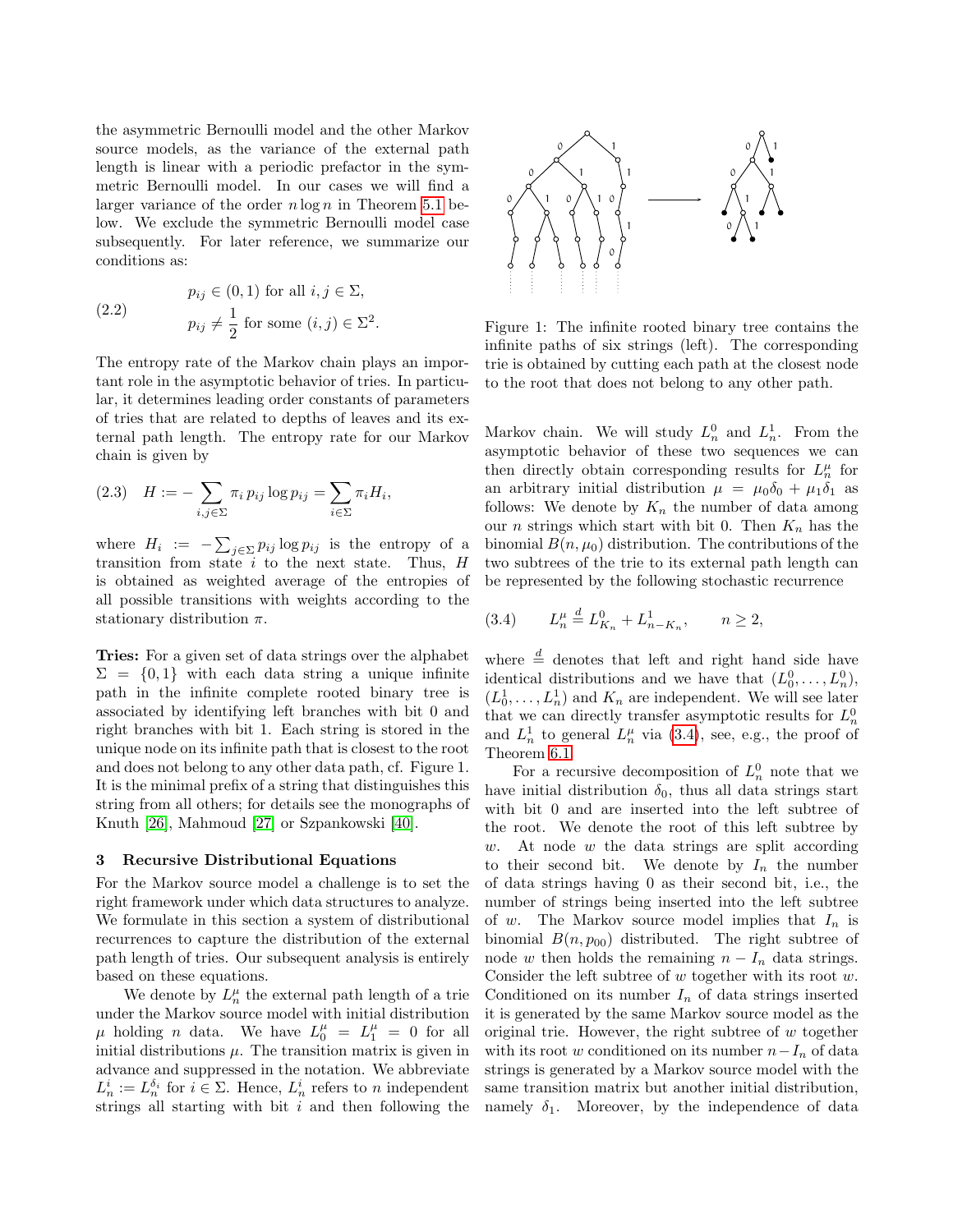the asymmetric Bernoulli model and the other Markov source models, as the variance of the external path length is linear with a periodic prefactor in the symmetric Bernoulli model. In our cases we will find a larger variance of the order  $n \log n$  in Theorem [5.1](#page-3-0) below. We exclude the symmetric Bernoulli model case subsequently. For later reference, we summarize our conditions as:

<span id="page-2-1"></span>(2.2) 
$$
p_{ij} \in (0,1) \text{ for all } i,j \in \Sigma,
$$

$$
p_{ij} \neq \frac{1}{2} \text{ for some } (i,j) \in \Sigma^2.
$$

The entropy rate of the Markov chain plays an important role in the asymptotic behavior of tries. In particular, it determines leading order constants of parameters of tries that are related to depths of leaves and its external path length. The entropy rate for our Markov chain is given by

<span id="page-2-2"></span>
$$
(2.3) \quad H := -\sum_{i,j\in\Sigma} \pi_i \, p_{ij} \log p_{ij} = \sum_{i\in\Sigma} \pi_i H_i,
$$

where  $H_i := -\sum_{j \in \Sigma} p_{ij} \log p_{ij}$  is the entropy of a transition from state  $i$  to the next state. Thus,  $H$ is obtained as weighted average of the entropies of all possible transitions with weights according to the stationary distribution  $\pi$ .

Tries: For a given set of data strings over the alphabet  $\Sigma = \{0, 1\}$  with each data string a unique infinite path in the infinite complete rooted binary tree is associated by identifying left branches with bit 0 and right branches with bit 1. Each string is stored in the unique node on its infinite path that is closest to the root and does not belong to any other data path, cf. Figure 1. It is the minimal prefix of a string that distinguishes this string from all others; for details see the monographs of Knuth [\[26\]](#page-9-7), Mahmoud [\[27\]](#page-9-8) or Szpankowski [\[40\]](#page-9-9).

#### 3 Recursive Distributional Equations

For the Markov source model a challenge is to set the right framework under which data structures to analyze. We formulate in this section a system of distributional recurrences to capture the distribution of the external path length of tries. Our subsequent analysis is entirely based on these equations.

We denote by  $L_n^{\mu}$  the external path length of a trie under the Markov source model with initial distribution  $\mu$  holding *n* data. We have  $L_0^{\mu} = L_1^{\mu} = 0$  for all initial distributions  $\mu$ . The transition matrix is given in advance and suppressed in the notation. We abbreviate  $L_n^i := L_n^{\delta_i}$  for  $i \in \Sigma$ . Hence,  $L_n^i$  refers to n independent strings all starting with bit  $i$  and then following the



Figure 1: The infinite rooted binary tree contains the infinite paths of six strings (left). The corresponding trie is obtained by cutting each path at the closest node to the root that does not belong to any other path.

Markov chain. We will study  $L_n^0$  and  $L_n^1$ . From the asymptotic behavior of these two sequences we can then directly obtain corresponding results for  $L_n^{\mu}$  for an arbitrary initial distribution  $\mu = \mu_0 \delta_0 + \mu_1 \delta_1$  as follows: We denote by  $K_n$  the number of data among our *n* strings which start with bit 0. Then  $K_n$  has the binomial  $B(n, \mu_0)$  distribution. The contributions of the two subtrees of the trie to its external path length can be represented by the following stochastic recurrence

<span id="page-2-0"></span>
$$
(3.4) \tL_n^{\mu} \stackrel{d}{=} L_{K_n}^0 + L_{n-K_n}^1, \t n \ge 2,
$$

where  $\stackrel{d}{=}$  denotes that left and right hand side have identical distributions and we have that  $(L_0^0, \ldots, L_n^0)$ ,  $(L_0^1, \ldots, L_n^1)$  and  $K_n$  are independent. We will see later that we can directly transfer asymptotic results for  $L_n^0$ and  $L_n^1$  to general  $L_n^{\mu}$  via [\(3.4\)](#page-2-0), see, e.g., the proof of Theorem [6.1.](#page-5-0)

For a recursive decomposition of  $L_n^0$  note that we have initial distribution  $\delta_0$ , thus all data strings start with bit 0 and are inserted into the left subtree of the root. We denote the root of this left subtree by  $w$ . At node  $w$  the data strings are split according to their second bit. We denote by  $I_n$  the number of data strings having 0 as their second bit, i.e., the number of strings being inserted into the left subtree of w. The Markov source model implies that  $I_n$  is binomial  $B(n, p_{00})$  distributed. The right subtree of node w then holds the remaining  $n - I_n$  data strings. Consider the left subtree of  $w$  together with its root  $w$ . Conditioned on its number  $I_n$  of data strings inserted it is generated by the same Markov source model as the original trie. However, the right subtree of  $w$  together with its root w conditioned on its number  $n-I_n$  of data strings is generated by a Markov source model with the same transition matrix but another initial distribution, namely  $\delta_1$ . Moreover, by the independence of data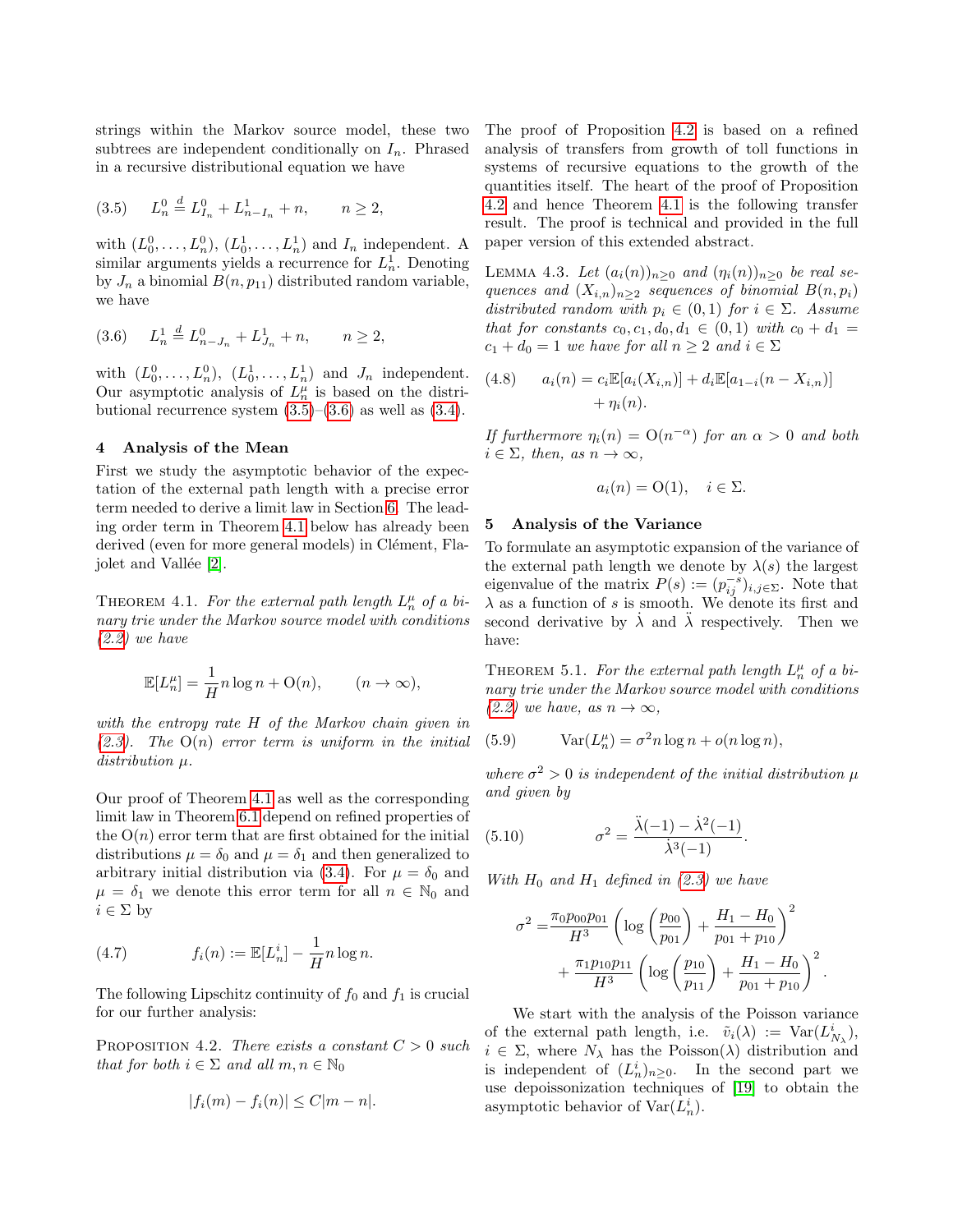strings within the Markov source model, these two subtrees are independent conditionally on  $I_n$ . Phrased in a recursive distributional equation we have

<span id="page-3-1"></span>
$$
(3.5) \tL_n^0 \stackrel{d}{=} L_{I_n}^0 + L_{n-I_n}^1 + n, \t n \ge 2,
$$

with  $(L_0^0, \ldots, L_n^0), (L_0^1, \ldots, L_n^1)$  and  $I_n$  independent. A similar arguments yields a recurrence for  $L<sub>n</sub><sup>1</sup>$ . Denoting by  $J_n$  a binomial  $B(n, p_{11})$  distributed random variable, we have

<span id="page-3-2"></span>
$$
(3.6) \tL_n^1 \stackrel{d}{=} L_{n-J_n}^0 + L_{J_n}^1 + n, \t n \ge 2,
$$

with  $(L_0^0, \ldots, L_n^0), (L_0^1, \ldots, L_n^1)$  and  $J_n$  independent. Our asymptotic analysis of  $L_n^{\mu}$  is based on the distributional recurrence system  $(3.5)$ – $(3.6)$  as well as  $(3.4)$ .

# 4 Analysis of the Mean

First we study the asymptotic behavior of the expectation of the external path length with a precise error term needed to derive a limit law in Section [6.](#page-5-1) The leading order term in Theorem [4.1](#page-3-3) below has already been derived (even for more general models) in Clément, Fla-jolet and Vallée [\[2\]](#page-8-0).

<span id="page-3-3"></span>THEOREM 4.1. For the external path length  $L_n^{\mu}$  of a binary trie under the Markov source model with conditions [\(2.2\)](#page-2-1) we have

$$
\mathbb{E}[L_n^{\mu}] = \frac{1}{H} n \log n + \mathcal{O}(n), \qquad (n \to \infty),
$$

with the entropy rate H of the Markov chain given in  $(2.3)$ . The  $O(n)$  error term is uniform in the initial distribution  $\mu$ .

Our proof of Theorem [4.1](#page-3-3) as well as the corresponding limit law in Theorem [6.1](#page-5-0) depend on refined properties of the  $O(n)$  error term that are first obtained for the initial distributions  $\mu = \delta_0$  and  $\mu = \delta_1$  and then generalized to arbitrary initial distribution via [\(3.4\)](#page-2-0). For  $\mu = \delta_0$  and  $\mu = \delta_1$  we denote this error term for all  $n \in \mathbb{N}_0$  and  $i \in \Sigma$  by

<span id="page-3-6"></span>(4.7) 
$$
f_i(n) := \mathbb{E}[L_n^i] - \frac{1}{H} n \log n.
$$

The following Lipschitz continuity of  $f_0$  and  $f_1$  is crucial for our further analysis:

PROPOSITION 4.2. There exists a constant  $C > 0$  such that for both  $i \in \Sigma$  and all  $m, n \in \mathbb{N}_0$ 

<span id="page-3-4"></span>
$$
|f_i(m) - f_i(n)| \le C|m - n|.
$$

The proof of Proposition [4.2](#page-3-4) is based on a refined analysis of transfers from growth of toll functions in systems of recursive equations to the growth of the quantities itself. The heart of the proof of Proposition [4.2](#page-3-4) and hence Theorem [4.1](#page-3-3) is the following transfer result. The proof is technical and provided in the full paper version of this extended abstract.

LEMMA 4.3. Let  $(a_i(n))_{n\geq 0}$  and  $(\eta_i(n))_{n\geq 0}$  be real sequences and  $(X_{i,n})_{n\geq 2}$  sequences of binomial  $B(n, p_i)$ distributed random with  $p_i \in (0,1)$  for  $i \in \Sigma$ . Assume that for constants  $c_0, c_1, d_0, d_1 \in (0, 1)$  with  $c_0 + d_1 =$  $c_1 + d_0 = 1$  we have for all  $n \geq 2$  and  $i \in \Sigma$ 

(4.8) 
$$
a_i(n) = c_i \mathbb{E}[a_i(X_{i,n})] + d_i \mathbb{E}[a_{1-i}(n - X_{i,n})] + \eta_i(n).
$$

If furthermore  $\eta_i(n) = O(n^{-\alpha})$  for an  $\alpha > 0$  and both  $i \in \Sigma$ , then, as  $n \to \infty$ ,

$$
a_i(n) = O(1), \quad i \in \Sigma.
$$

## 5 Analysis of the Variance

To formulate an asymptotic expansion of the variance of the external path length we denote by  $\lambda(s)$  the largest eigenvalue of the matrix  $P(s) := (p_{ij}^{-s})_{i,j \in \Sigma}$ . Note that  $\lambda$  as a function of s is smooth. We denote its first and second derivative by  $\lambda$  and  $\lambda$  respectively. Then we have:

<span id="page-3-0"></span>THEOREM 5.1. For the external path length  $L_n^{\mu}$  of a binary trie under the Markov source model with conditions [\(2.2\)](#page-2-1) we have, as  $n \to \infty$ ,

(5.9) 
$$
Var(L_n^{\mu}) = \sigma^2 n \log n + o(n \log n),
$$

where  $\sigma^2 > 0$  is independent of the initial distribution  $\mu$ and given by

<span id="page-3-5"></span>(5.10) 
$$
\sigma^2 = \frac{\ddot{\lambda}(-1) - \dot{\lambda}^2(-1)}{\dot{\lambda}^3(-1)}.
$$

With  $H_0$  and  $H_1$  defined in [\(2.3\)](#page-2-2) we have

$$
\sigma^2 = \frac{\pi_0 p_{00} p_{01}}{H^3} \left( \log \left( \frac{p_{00}}{p_{01}} \right) + \frac{H_1 - H_0}{p_{01} + p_{10}} \right)^2
$$

$$
+ \frac{\pi_1 p_{10} p_{11}}{H^3} \left( \log \left( \frac{p_{10}}{p_{11}} \right) + \frac{H_1 - H_0}{p_{01} + p_{10}} \right)^2
$$

.

We start with the analysis of the Poisson variance of the external path length, i.e.  $\tilde{v}_i(\lambda) := \text{Var}(L^i_{N_\lambda}),$  $i \in \Sigma$ , where  $N_{\lambda}$  has the Poisson( $\lambda$ ) distribution and is independent of  $(L_n^i)_{n\geq 0}$ . In the second part we use depoissonization techniques of [\[19\]](#page-9-20) to obtain the asymptotic behavior of  $\text{Var}(L_n^i)$ .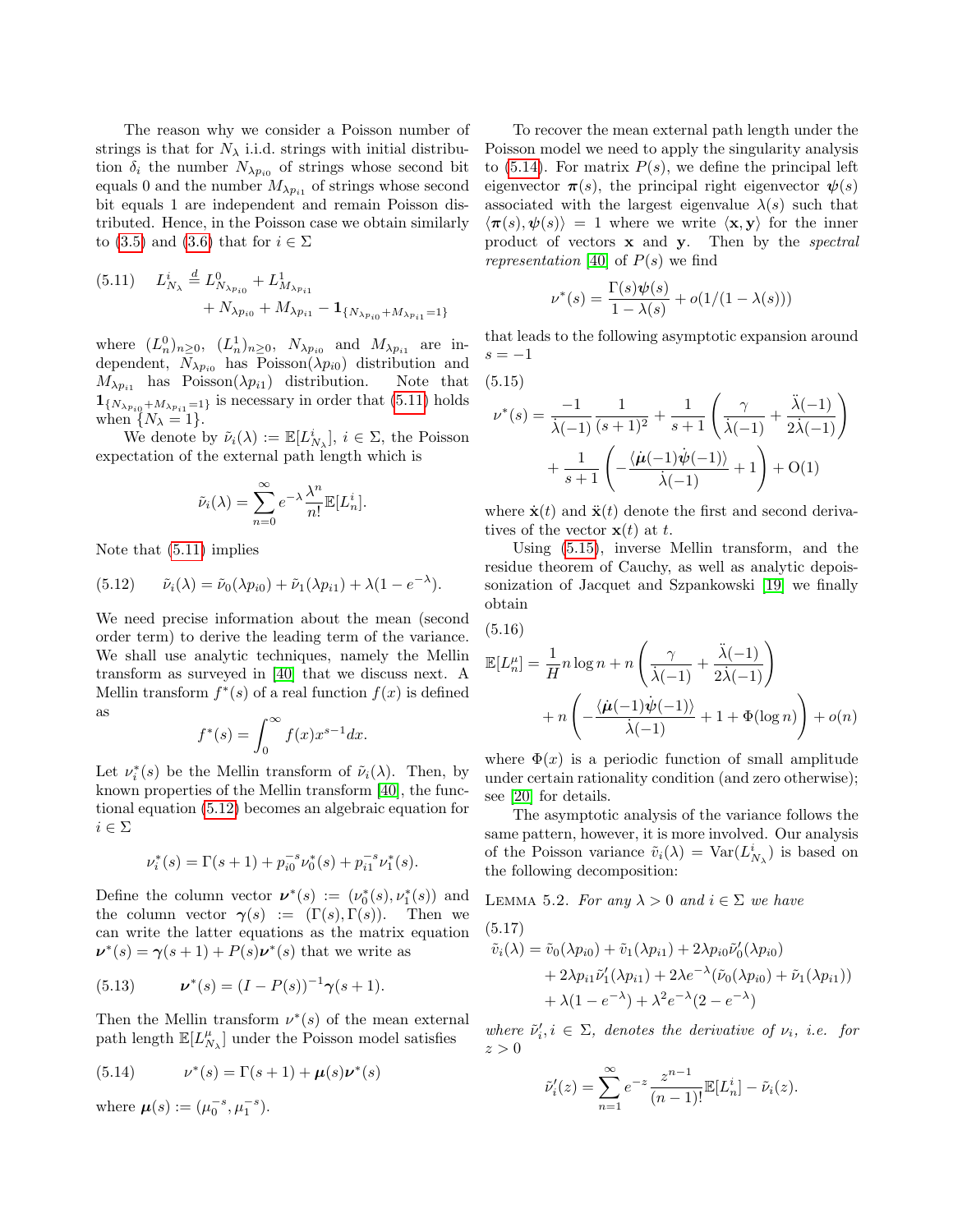The reason why we consider a Poisson number of strings is that for  $N_{\lambda}$  i.i.d. strings with initial distribution  $\delta_i$  the number  $N_{\lambda p_{i0}}$  of strings whose second bit equals 0 and the number  $M_{\lambda p_{i1}}$  of strings whose second bit equals 1 are independent and remain Poisson distributed. Hence, in the Poisson case we obtain similarly to [\(3.5\)](#page-3-1) and [\(3.6\)](#page-3-2) that for  $i \in \Sigma$ 

<span id="page-4-0"></span>
$$
(5.11) \tL_{N_{\lambda}}^{i} \stackrel{d}{=} L_{N_{\lambda p_{i0}}}^{0} + L_{M_{\lambda p_{i1}}}^{1} + N_{\lambda p_{i1}} - \mathbf{1}_{\{N_{\lambda p_{i0}} + M_{\lambda p_{i1}} = 1\}}
$$

where  $(L_n^0)_{n\geq 0}$ ,  $(L_n^1)_{n\geq 0}$ ,  $N_{\lambda p_{i0}}$  and  $M_{\lambda p_{i1}}$  are independent,  $N_{\lambda p_{i0}}$  has Poisson $(\lambda p_{i0})$  distribution and  $M_{\lambda p_{i1}}$  has Poisson $(\lambda p_{i1})$  distribution. Note that  $\mathbf{1}_{\{N_{\lambda p_{i0}}+M_{\lambda p_{i1}=1}\}}$  is necessary in order that [\(5.11\)](#page-4-0) holds when  $\{N_{\lambda} = 1\}.$ 

We denote by  $\tilde{\nu}_i(\lambda) := \mathbb{E}[L^i_{N_{\lambda}}], i \in \Sigma$ , the Poisson expectation of the external path length which is

$$
\tilde{\nu}_i(\lambda) = \sum_{n=0}^{\infty} e^{-\lambda} \frac{\lambda^n}{n!} \mathbb{E}[L_n^i].
$$

Note that [\(5.11\)](#page-4-0) implies

<span id="page-4-1"></span>(5.12) 
$$
\tilde{\nu}_i(\lambda) = \tilde{\nu}_0(\lambda p_{i0}) + \tilde{\nu}_1(\lambda p_{i1}) + \lambda (1 - e^{-\lambda}).
$$

We need precise information about the mean (second order term) to derive the leading term of the variance. We shall use analytic techniques, namely the Mellin transform as surveyed in [\[40\]](#page-9-9) that we discuss next. A Mellin transform  $f^*(s)$  of a real function  $f(x)$  is defined as

$$
f^*(s) = \int_0^\infty f(x) x^{s-1} dx.
$$

Let  $\nu_i^*(s)$  be the Mellin transform of  $\tilde{\nu}_i(\lambda)$ . Then, by known properties of the Mellin transform [\[40\]](#page-9-9), the functional equation [\(5.12\)](#page-4-1) becomes an algebraic equation for  $i \in \Sigma$ 

$$
\nu_i^*(s) = \Gamma(s+1) + p_{i0}^{-s} \nu_0^*(s) + p_{i1}^{-s} \nu_1^*(s).
$$

Define the column vector  $\boldsymbol{\nu}^*(s) := (\nu_0^*(s), \nu_1^*(s))$  and the column vector  $\gamma(s) := (\Gamma(s), \Gamma(s))$ . Then we can write the latter equations as the matrix equation  $\nu^*(s) = \gamma(s+1) + P(s)\nu^*(s)$  that we write as

(5.13) 
$$
\nu^*(s) = (I - P(s))^{-1} \gamma(s+1).
$$

Then the Mellin transform  $\nu^*(s)$  of the mean external path length  $\mathbb{E}[L_{N_\lambda}^\mu]$  under the Poisson model satisfies

<span id="page-4-2"></span>(5.14) 
$$
\nu^*(s) = \Gamma(s+1) + \mu(s)\nu^*(s)
$$

where  $\mu(s) := (\mu_0^{-s}, \mu_1^{-s}).$ 

To recover the mean external path length under the Poisson model we need to apply the singularity analysis to  $(5.14)$ . For matrix  $P(s)$ , we define the principal left eigenvector  $\pi(s)$ , the principal right eigenvector  $\psi(s)$ associated with the largest eigenvalue  $\lambda(s)$  such that  $\langle \pi(s), \psi(s) \rangle = 1$  where we write  $\langle x, y \rangle$  for the inner product of vectors  $x$  and  $y$ . Then by the *spectral* representation [\[40\]](#page-9-9) of  $P(s)$  we find

$$
\nu^*(s) = \frac{\Gamma(s)\psi(s)}{1 - \lambda(s)} + o(1/(1 - \lambda(s)))
$$

that leads to the following asymptotic expansion around  $s = -1$ 

<span id="page-4-3"></span>(5.15)

$$
\nu^*(s) = \frac{-1}{\lambda(-1)} \frac{1}{(s+1)^2} + \frac{1}{s+1} \left( \frac{\gamma}{\lambda(-1)} + \frac{\lambda(-1)}{2\lambda(-1)} \right) + \frac{1}{s+1} \left( -\frac{\langle \mu(-1)\psi(-1)\rangle}{\lambda(-1)} + 1 \right) + O(1)
$$

where  $\dot{\mathbf{x}}(t)$  and  $\ddot{\mathbf{x}}(t)$  denote the first and second derivatives of the vector  $\mathbf{x}(t)$  at t.

Using [\(5.15\)](#page-4-3), inverse Mellin transform, and the residue theorem of Cauchy, as well as analytic depoissonization of Jacquet and Szpankowski [\[19\]](#page-9-20) we finally obtain

$$
(5.16)
$$

$$
\mathbb{E}[L_n^{\mu}] = \frac{1}{H} n \log n + n \left( \frac{\gamma}{\lambda(-1)} + \frac{\ddot{\lambda}(-1)}{2\dot{\lambda}(-1)} \right) + n \left( -\frac{\langle \dot{\mu}(-1)\dot{\psi}(-1)\rangle}{\dot{\lambda}(-1)} + 1 + \Phi(\log n) \right) + o(n)
$$

where  $\Phi(x)$  is a periodic function of small amplitude under certain rationality condition (and zero otherwise); see [\[20\]](#page-9-3) for details.

The asymptotic analysis of the variance follows the same pattern, however, it is more involved. Our analysis of the Poisson variance  $\tilde{v}_i(\lambda) = \text{Var}(L^i_{N_\lambda})$  is based on the following decomposition:

LEMMA 5.2. For any  $\lambda > 0$  and  $i \in \Sigma$  we have (5.17)

$$
\tilde{v}_i(\lambda) = \tilde{v}_0(\lambda p_{i0}) + \tilde{v}_1(\lambda p_{i1}) + 2\lambda p_{i0} \tilde{\nu}'_0(\lambda p_{i0}) \n+ 2\lambda p_{i1} \tilde{\nu}'_1(\lambda p_{i1}) + 2\lambda e^{-\lambda} (\tilde{\nu}_0(\lambda p_{i0}) + \tilde{\nu}_1(\lambda p_{i1})) \n+ \lambda (1 - e^{-\lambda}) + \lambda^2 e^{-\lambda} (2 - e^{-\lambda})
$$

where  $\tilde{\nu}'_i, i \in \Sigma$ , denotes the derivative of  $\nu_i$ , i.e. for  $z > 0$ 

$$
\tilde{\nu}'_i(z) = \sum_{n=1}^{\infty} e^{-z} \frac{z^{n-1}}{(n-1)!} \mathbb{E}[L_n^i] - \tilde{\nu}_i(z).
$$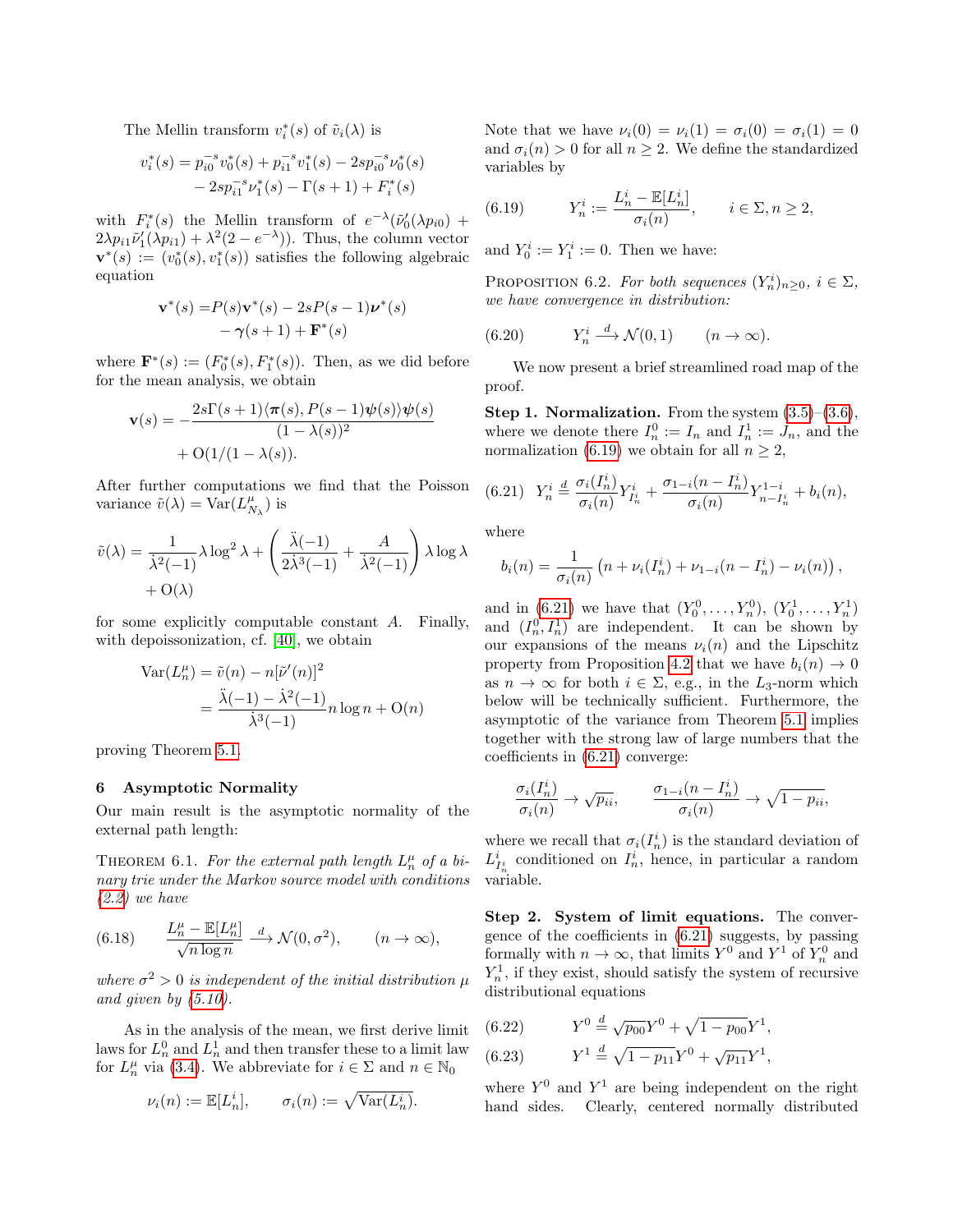The Mellin transform  $v_i^*(s)$  of  $\tilde{v}_i(\lambda)$  is

$$
\begin{aligned} v_i^*(s) & = p_{i0}^{-s} v_0^*(s) + p_{i1}^{-s} v_1^*(s) - 2 s p_{i0}^{-s} \nu_0^*(s) \\ & \quad - 2 s p_{i1}^{-s} \nu_1^*(s) - \Gamma(s+1) + F_i^*(s) \end{aligned}
$$

with  $F_i^*(s)$  the Mellin transform of  $e^{-\lambda}(\tilde{\nu}_0'(\lambda p_{i0}) +$  $2\lambda p_{i1}\tilde{\nu}'_1(\lambda p_{i1}) + \lambda^2(2 - e^{-\lambda})$ ). Thus, the column vector  $\mathbf{v}^*(s) := (v_0^*(s), v_1^*(s))$  satisfies the following algebraic equation

$$
\mathbf{v}^*(s) = P(s)\mathbf{v}^*(s) - 2sP(s-1)\boldsymbol{\nu}^*(s)
$$

$$
-\gamma(s+1) + \mathbf{F}^*(s)
$$

where  $\mathbf{F}^*(s) := (F_0^*(s), F_1^*(s))$ . Then, as we did before for the mean analysis, we obtain

$$
\mathbf{v}(s) = -\frac{2s\Gamma(s+1)\langle \pi(s), P(s-1)\psi(s)\rangle\psi(s)}{(1-\lambda(s))^2} + O(1/(1-\lambda(s)).
$$

After further computations we find that the Poisson variance  $\tilde{v}(\lambda) = \text{Var}(L_{N_{\lambda}}^{\mu})$  is

$$
\tilde{v}(\lambda) = \frac{1}{\lambda^2(-1)} \lambda \log^2 \lambda + \left(\frac{\ddot{\lambda}(-1)}{2\dot{\lambda}^3(-1)} + \frac{A}{\dot{\lambda}^2(-1)}\right) \lambda \log \lambda + O(\lambda)
$$

for some explicitly computable constant A. Finally, with depoissonization, cf. [\[40\]](#page-9-9), we obtain

$$
\operatorname{Var}(L_n^{\mu}) = \tilde{v}(n) - n[\tilde{\nu}'(n)]^2
$$

$$
= \frac{\ddot{\lambda}(-1) - \dot{\lambda}^2(-1)}{\dot{\lambda}^3(-1)} n \log n + \mathcal{O}(n)
$$

proving Theorem [5.1.](#page-3-0)

# <span id="page-5-1"></span>6 Asymptotic Normality

Our main result is the asymptotic normality of the external path length:

<span id="page-5-0"></span>THEOREM 6.1. For the external path length  $L_n^{\mu}$  of a binary trie under the Markov source model with conditions  $(2.2)$  we have

(6.18) 
$$
\frac{L_n^{\mu} - \mathbb{E}[L_n^{\mu}]}{\sqrt{n \log n}} \xrightarrow{d} \mathcal{N}(0, \sigma^2), \qquad (n \to \infty),
$$

where  $\sigma^2 > 0$  is independent of the initial distribution  $\mu$ and given by  $(5.10)$ .

As in the analysis of the mean, we first derive limit laws for  $L_n^0$  and  $L_n^1$  and then transfer these to a limit law for  $L_n^{\mu}$  via [\(3.4\)](#page-2-0). We abbreviate for  $i \in \Sigma$  and  $n \in \mathbb{N}_0$ 

$$
\nu_i(n) := \mathbb{E}[L_n^i], \qquad \sigma_i(n) := \sqrt{\text{Var}(L_n^i)}.
$$

Note that we have  $\nu_i(0) = \nu_i(1) = \sigma_i(0) = \sigma_i(1) = 0$ and  $\sigma_i(n) > 0$  for all  $n \geq 2$ . We define the standardized variables by

<span id="page-5-2"></span>(6.19) 
$$
Y_n^i := \frac{L_n^i - \mathbb{E}[L_n^i]}{\sigma_i(n)}, \quad i \in \Sigma, n \ge 2,
$$

and  $Y_0^i := Y_1^i := 0$ . Then we have:

<span id="page-5-6"></span>PROPOSITION 6.2. For both sequences  $(Y_n^i)_{n\geq 0}, i \in \Sigma$ , we have convergence in distribution:

(6.20) 
$$
Y_n^i \stackrel{d}{\longrightarrow} \mathcal{N}(0,1) \qquad (n \to \infty).
$$

We now present a brief streamlined road map of the proof.

**Step 1. Normalization.** From the system  $(3.5)$ – $(3.6)$ , where we denote there  $I_n^0 := I_n$  and  $I_n^1 := J_n$ , and the normalization [\(6.19\)](#page-5-2) we obtain for all  $n \geq 2$ ,

<span id="page-5-3"></span>
$$
(6.21) \quad Y_n^i \stackrel{d}{=} \frac{\sigma_i(I_n^i)}{\sigma_i(n)} Y_{I_n^i}^i + \frac{\sigma_{1-i}(n - I_n^i)}{\sigma_i(n)} Y_{n - I_n^i}^{1 - i} + b_i(n),
$$

where

$$
b_i(n) = \frac{1}{\sigma_i(n)} (n + \nu_i(I_n^i) + \nu_{1-i}(n - I_n^i) - \nu_i(n)),
$$

and in [\(6.21\)](#page-5-3) we have that  $(Y_0^0, \ldots, Y_n^0), (Y_0^1, \ldots, Y_n^1)$ and  $(I_n^0, I_n^1)$  are independent. It can be shown by our expansions of the means  $\nu_i(n)$  and the Lipschitz property from Proposition [4.2](#page-3-4) that we have  $b_i(n) \rightarrow 0$ as  $n \to \infty$  for both  $i \in \Sigma$ , e.g., in the L<sub>3</sub>-norm which below will be technically sufficient. Furthermore, the asymptotic of the variance from Theorem [5.1](#page-3-0) implies together with the strong law of large numbers that the coefficients in [\(6.21\)](#page-5-3) converge:

$$
\frac{\sigma_i(I_n^i)}{\sigma_i(n)} \to \sqrt{p_{ii}}, \qquad \frac{\sigma_{1-i}(n-I_n^i)}{\sigma_i(n)} \to \sqrt{1-p_{ii}},
$$

where we recall that  $\sigma_i(I_n^i)$  is the standard deviation of  $L_{I_n^i}^i$  conditioned on  $I_n^i$ , hence, in particular a random variable.

Step 2. System of limit equations. The convergence of the coefficients in [\(6.21\)](#page-5-3) suggests, by passing formally with  $n \to \infty$ , that limits  $Y^0$  and  $Y^1$  of  $Y_n^0$  and  $Y_n^1$ , if they exist, should satisfy the system of recursive distributional equations

<span id="page-5-4"></span>
$$
(6.22) \tY^0 \stackrel{d}{=} \sqrt{p_{00}} Y^0 + \sqrt{1 - p_{00}} Y^1,
$$

<span id="page-5-5"></span>(6.23) 
$$
Y^{1} \stackrel{d}{=} \sqrt{1 - p_{11}} Y^{0} + \sqrt{p_{11}} Y^{1},
$$

where  $Y^0$  and  $Y^1$  are being independent on the right hand sides. Clearly, centered normally distributed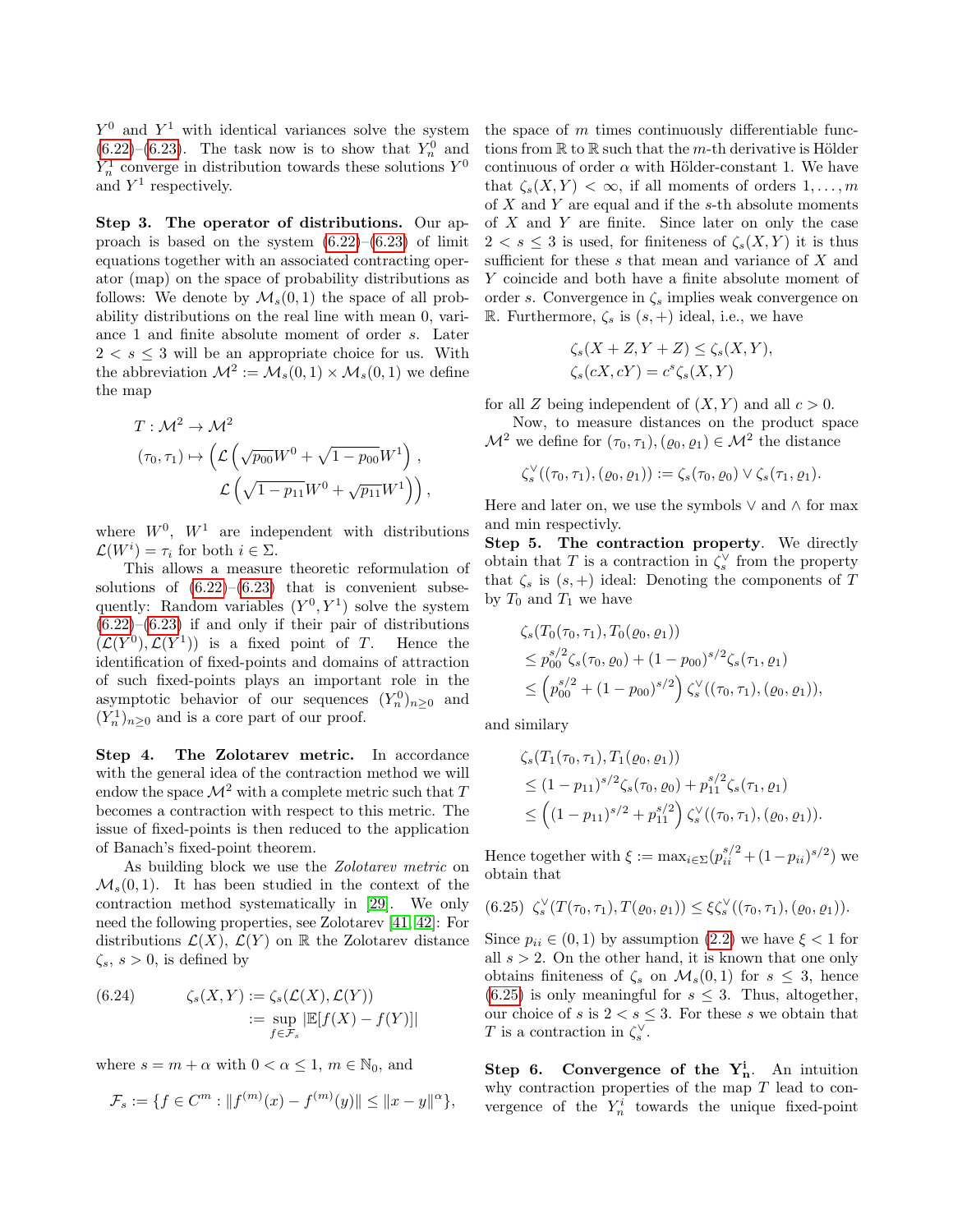$Y^0$  and  $Y^1$  with identical variances solve the system  $(6.22)$ – $(6.23)$ . The task now is to show that  $Y_n^0$  and  $Y_n^1$  converge in distribution towards these solutions  $Y^0$ and  $Y^1$  respectively.

Step 3. The operator of distributions. Our approach is based on the system  $(6.22)$ – $(6.23)$  of limit equations together with an associated contracting operator (map) on the space of probability distributions as follows: We denote by  $\mathcal{M}_s(0,1)$  the space of all probability distributions on the real line with mean 0, variance 1 and finite absolute moment of order s. Later  $2 < s \leq 3$  will be an appropriate choice for us. With the abbreviation  $\mathcal{M}^2 := \mathcal{M}_s(0,1) \times \mathcal{M}_s(0,1)$  we define the map

$$
T: \mathcal{M}^2 \to \mathcal{M}^2
$$
  
\n
$$
(\tau_0, \tau_1) \mapsto \left( \mathcal{L} \left( \sqrt{p_{00}} W^0 + \sqrt{1 - p_{00}} W^1 \right) , \mathcal{L} \left( \sqrt{1 - p_{11}} W^0 + \sqrt{p_{11}} W^1 \right) \right),
$$

where  $W^0$ ,  $W^1$  are independent with distributions  $\mathcal{L}(W^i) = \tau_i$  for both  $i \in \Sigma$ .

This allows a measure theoretic reformulation of solutions of  $(6.22)$ – $(6.23)$  that is convenient subsequently: Random variables  $(Y^0, Y^1)$  solve the system  $(6.22)$ – $(6.23)$  if and only if their pair of distributions  $(\mathcal{L}(Y^0), \mathcal{L}(Y^1))$  is a fixed point of T. Hence the identification of fixed-points and domains of attraction of such fixed-points plays an important role in the asymptotic behavior of our sequences  $(Y_n^0)_{n\geq 0}$  and  $(Y_n^1)_{n\geq 0}$  and is a core part of our proof.

Step 4. The Zolotarev metric. In accordance with the general idea of the contraction method we will endow the space  $\mathcal{M}^2$  with a complete metric such that T becomes a contraction with respect to this metric. The issue of fixed-points is then reduced to the application of Banach's fixed-point theorem.

As building block we use the Zolotarev metric on  $\mathcal{M}_s(0,1)$ . It has been studied in the context of the contraction method systematically in [\[29\]](#page-9-14). We only need the following properties, see Zolotarev [\[41,](#page-9-21) [42\]](#page-9-22): For distributions  $\mathcal{L}(X)$ ,  $\mathcal{L}(Y)$  on R the Zolotarev distance  $\zeta_s$ ,  $s > 0$ , is defined by

(6.24) 
$$
\zeta_s(X,Y) := \zeta_s(\mathcal{L}(X), \mathcal{L}(Y))
$$

$$
:= \sup_{f \in \mathcal{F}_s} |\mathbb{E}[f(X) - f(Y)]|
$$

where  $s = m + \alpha$  with  $0 < \alpha \leq 1$ ,  $m \in \mathbb{N}_0$ , and

$$
\mathcal{F}_s := \{ f \in C^m : ||f^{(m)}(x) - f^{(m)}(y)|| \le ||x - y||^{\alpha} \},\
$$

the space of  $m$  times continuously differentiable functions from  $\mathbb R$  to  $\mathbb R$  such that the *m*-th derivative is Hölder continuous of order  $\alpha$  with Hölder-constant 1. We have that  $\zeta_s(X, Y) < \infty$ , if all moments of orders  $1, \ldots, m$ of  $X$  and  $Y$  are equal and if the s-th absolute moments of  $X$  and  $Y$  are finite. Since later on only the case  $2 < s \leq 3$  is used, for finiteness of  $\zeta_s(X, Y)$  it is thus sufficient for these s that mean and variance of X and Y coincide and both have a finite absolute moment of order s. Convergence in  $\zeta_s$  implies weak convergence on R. Furthermore,  $\zeta_s$  is  $(s,+)$  ideal, i.e., we have

$$
\zeta_s(X+Z,Y+Z) \le \zeta_s(X,Y),
$$
  

$$
\zeta_s(cX,cY) = c^s \zeta_s(X,Y)
$$

for all Z being independent of  $(X, Y)$  and all  $c > 0$ .

Now, to measure distances on the product space  $\mathcal{M}^2$  we define for  $(\tau_0, \tau_1), (\varrho_0, \varrho_1) \in \mathcal{M}^2$  the distance

$$
\zeta_s^{\vee}((\tau_0,\tau_1),(\varrho_0,\varrho_1)):=\zeta_s(\tau_0,\varrho_0)\vee\zeta_s(\tau_1,\varrho_1).
$$

Here and later on, we use the symbols  $\vee$  and  $\wedge$  for max and min respectivly.

Step 5. The contraction property. We directly obtain that T is a contraction in  $\zeta_s^{\vee}$  from the property that  $\zeta_s$  is  $(s, +)$  ideal: Denoting the components of T by  $T_0$  and  $T_1$  we have

$$
\begin{aligned} &\zeta_s(T_0(\tau_0,\tau_1),T_0(\varrho_0,\varrho_1)) \\ &\le p_{00}^{s/2}\zeta_s(\tau_0,\varrho_0) + (1-p_{00})^{s/2}\zeta_s(\tau_1,\varrho_1) \\ &\le \left(p_{00}^{s/2} + (1-p_{00})^{s/2}\right)\zeta_s^{\vee}((\tau_0,\tau_1),(\varrho_0,\varrho_1)), \end{aligned}
$$

and similary

$$
\begin{aligned} &\zeta_s(T_1(\tau_0,\tau_1),T_1(\varrho_0,\varrho_1)) \\ &\leq (1-p_{11})^{s/2} \zeta_s(\tau_0,\varrho_0) + p_{11}^{s/2} \zeta_s(\tau_1,\varrho_1) \\ &\leq \left( (1-p_{11})^{s/2} + p_{11}^{s/2} \right) \zeta_s^{\vee}((\tau_0,\tau_1),(\varrho_0,\varrho_1)). \end{aligned}
$$

Hence together with  $\xi := \max_{i \in \Sigma} (p_{ii}^{s/2} + (1 - p_{ii})^{s/2})$  we obtain that

<span id="page-6-0"></span>
$$
(6.25) \zeta_s^{\vee}(T(\tau_0, \tau_1), T(\varrho_0, \varrho_1)) \leq \xi \zeta_s^{\vee}((\tau_0, \tau_1), (\varrho_0, \varrho_1)).
$$

Since  $p_{ii} \in (0,1)$  by assumption  $(2.2)$  we have  $\xi < 1$  for all  $s > 2$ . On the other hand, it is known that one only obtains finiteness of  $\zeta_s$  on  $\mathcal{M}_s(0,1)$  for  $s \leq 3$ , hence  $(6.25)$  is only meaningful for  $s \leq 3$ . Thus, altogether, our choice of s is  $2 < s \leq 3$ . For these s we obtain that T is a contraction in  $\zeta_s^{\vee}$ .

Step 6. Convergence of the  $Y_n^i$ . An intuition why contraction properties of the map  $T$  lead to convergence of the  $Y_n^i$  towards the unique fixed-point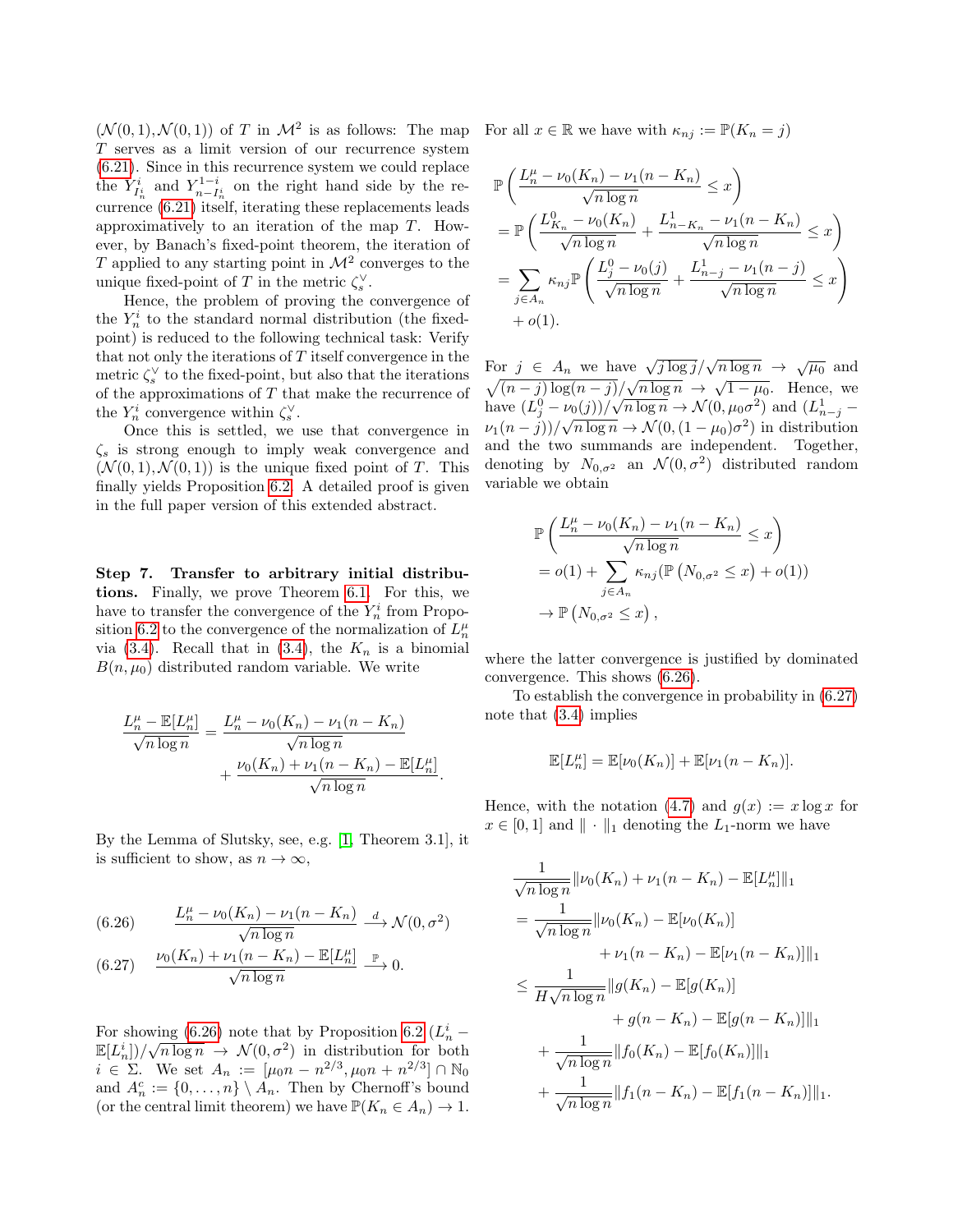$(\mathcal{N}(0,1), \mathcal{N}(0,1))$  of T in  $\mathcal{M}^2$  is as follows: The map T serves as a limit version of our recurrence system [\(6.21\)](#page-5-3). Since in this recurrence system we could replace the  $Y_{I_n^i}^i$  and  $Y_{n-I_n^i}^{1-i}$  on the right hand side by the recurrence [\(6.21\)](#page-5-3) itself, iterating these replacements leads approximatively to an iteration of the map T. However, by Banach's fixed-point theorem, the iteration of T applied to any starting point in  $\mathcal{M}^2$  converges to the unique fixed-point of T in the metric  $\zeta_s^{\vee}$ .

Hence, the problem of proving the convergence of the  $Y_n^i$  to the standard normal distribution (the fixedpoint) is reduced to the following technical task: Verify that not only the iterations of T itself convergence in the metric  $\zeta_s^{\vee}$  to the fixed-point, but also that the iterations of the approximations of  $T$  that make the recurrence of the  $Y_n^i$  convergence within  $\zeta_s^{\vee}$ .

Once this is settled, we use that convergence in  $\zeta_s$  is strong enough to imply weak convergence and  $(N(0, 1), N(0, 1))$  is the unique fixed point of T. This finally yields Proposition [6.2.](#page-5-6) A detailed proof is given in the full paper version of this extended abstract.

Step 7. Transfer to arbitrary initial distributions. Finally, we prove Theorem [6.1.](#page-5-0) For this, we have to transfer the convergence of the  $Y_n^i$  from Propo-sition [6.2](#page-5-6) to the convergence of the normalization of  $L_n^{\mu}$ via [\(3.4\)](#page-2-0). Recall that in (3.4), the  $K_n$  is a binomial  $B(n, \mu_0)$  distributed random variable. We write

$$
\frac{L_n^{\mu} - \mathbb{E}[L_n^{\mu}]}{\sqrt{n \log n}} = \frac{L_n^{\mu} - \nu_0(K_n) - \nu_1(n - K_n)}{\sqrt{n \log n}} + \frac{\nu_0(K_n) + \nu_1(n - K_n) - \mathbb{E}[L_n^{\mu}]}{\sqrt{n \log n}}.
$$

By the Lemma of Slutsky, see, e.g. [\[1,](#page-8-10) Theorem 3.1], it is sufficient to show, as  $n \to \infty$ ,

<span id="page-7-0"></span>(6.26) 
$$
\frac{L_n^{\mu} - \nu_0(K_n) - \nu_1(n - K_n)}{\sqrt{n \log n}} \xrightarrow{d} \mathcal{N}(0, \sigma^2)
$$

<span id="page-7-1"></span>(6.27) 
$$
\frac{\nu_0(K_n) + \nu_1(n - K_n) - \mathbb{E}[L_n^{\mu}]}{\sqrt{n \log n}} \stackrel{\mathbb{P}}{\longrightarrow} 0.
$$

For showing  $(6.26)$  note that by Proposition [6.2](#page-5-6)  $(L_n^i \mathbb{E}[L_n^i]/\sqrt{n \log n} \rightarrow \mathcal{N}(0, \sigma^2)$  in distribution for both  $i \in \Sigma$ . We set  $A_n := [\mu_0 n - n^{2/3}, \mu_0 n + n^{2/3}] \cap \mathbb{N}_0$ and  $A_n^c := \{0, \ldots, n\} \setminus A_n$ . Then by Chernoff's bound (or the central limit theorem) we have  $\mathbb{P}(K_n \in A_n) \to 1$ .

For all  $x \in \mathbb{R}$  we have with  $\kappa_{ni} := \mathbb{P}(K_n = j)$ 

$$
\mathbb{P}\left(\frac{L_n^{\mu} - \nu_0(K_n) - \nu_1(n - K_n)}{\sqrt{n \log n}} \le x\right)
$$
\n
$$
= \mathbb{P}\left(\frac{L_{K_n}^0 - \nu_0(K_n)}{\sqrt{n \log n}} + \frac{L_{n-K_n}^1 - \nu_1(n - K_n)}{\sqrt{n \log n}} \le x\right)
$$
\n
$$
= \sum_{j \in A_n} \kappa_{nj} \mathbb{P}\left(\frac{L_j^0 - \nu_0(j)}{\sqrt{n \log n}} + \frac{L_{n-j}^1 - \nu_1(n - j)}{\sqrt{n \log n}} \le x\right)
$$
\n
$$
+ o(1).
$$

For  $j \in A_n$  we have  $\sqrt{j \log j}/\sqrt{n \log n} \to \sqrt{\mu_0}$  and  $\sqrt{(n-j)\log(n-j)}/\sqrt{n\log n} \rightarrow \sqrt{1-\mu_0}$ . Hence, we have  $(L_j^0 - \nu_0(j))/\sqrt{n \log n} \to \mathcal{N}(0, \mu_0 \sigma^2)$  and  $(L_{n-j}^1 \nu_1(n-j)/\sqrt{n \log n} \to \mathcal{N}(0, (1-\mu_0)\sigma^2)$  in distribution and the two summands are independent. Together, denoting by  $N_{0,\sigma^2}$  an  $\mathcal{N}(0,\sigma^2)$  distributed random variable we obtain

$$
\mathbb{P}\left(\frac{L_n^{\mu} - \nu_0(K_n) - \nu_1(n - K_n)}{\sqrt{n \log n}} \leq x\right)
$$
  
=  $o(1) + \sum_{j \in A_n} \kappa_{nj}(\mathbb{P}(N_{0,\sigma^2} \leq x) + o(1))$   
 $\to \mathbb{P}(N_{0,\sigma^2} \leq x),$ 

where the latter convergence is justified by dominated convergence. This shows [\(6.26\)](#page-7-0).

To establish the convergence in probability in [\(6.27\)](#page-7-1) note that [\(3.4\)](#page-2-0) implies

$$
\mathbb{E}[L_n^{\mu}] = \mathbb{E}[\nu_0(K_n)] + \mathbb{E}[\nu_1(n - K_n)].
$$

Hence, with the notation [\(4.7\)](#page-3-6) and  $g(x) := x \log x$  for  $x \in [0, 1]$  and  $\|\cdot\|_1$  denoting the L<sub>1</sub>-norm we have

$$
\frac{1}{\sqrt{n \log n}} ||\nu_0(K_n) + \nu_1(n - K_n) - \mathbb{E}[L_n^{\mu}]]_1
$$
\n
$$
= \frac{1}{\sqrt{n \log n}} ||\nu_0(K_n) - \mathbb{E}[\nu_0(K_n)]
$$
\n
$$
+ \nu_1(n - K_n) - \mathbb{E}[\nu_1(n - K_n)]||_1
$$
\n
$$
\leq \frac{1}{H\sqrt{n \log n}} ||g(K_n) - \mathbb{E}[g(K_n)]
$$
\n
$$
+ g(n - K_n) - \mathbb{E}[g(n - K_n)]||_1
$$
\n
$$
+ \frac{1}{\sqrt{n \log n}} ||f_0(K_n) - \mathbb{E}[f_0(K_n)]||_1
$$
\n
$$
+ \frac{1}{\sqrt{n \log n}} ||f_1(n - K_n) - \mathbb{E}[f_1(n - K_n)]||_1.
$$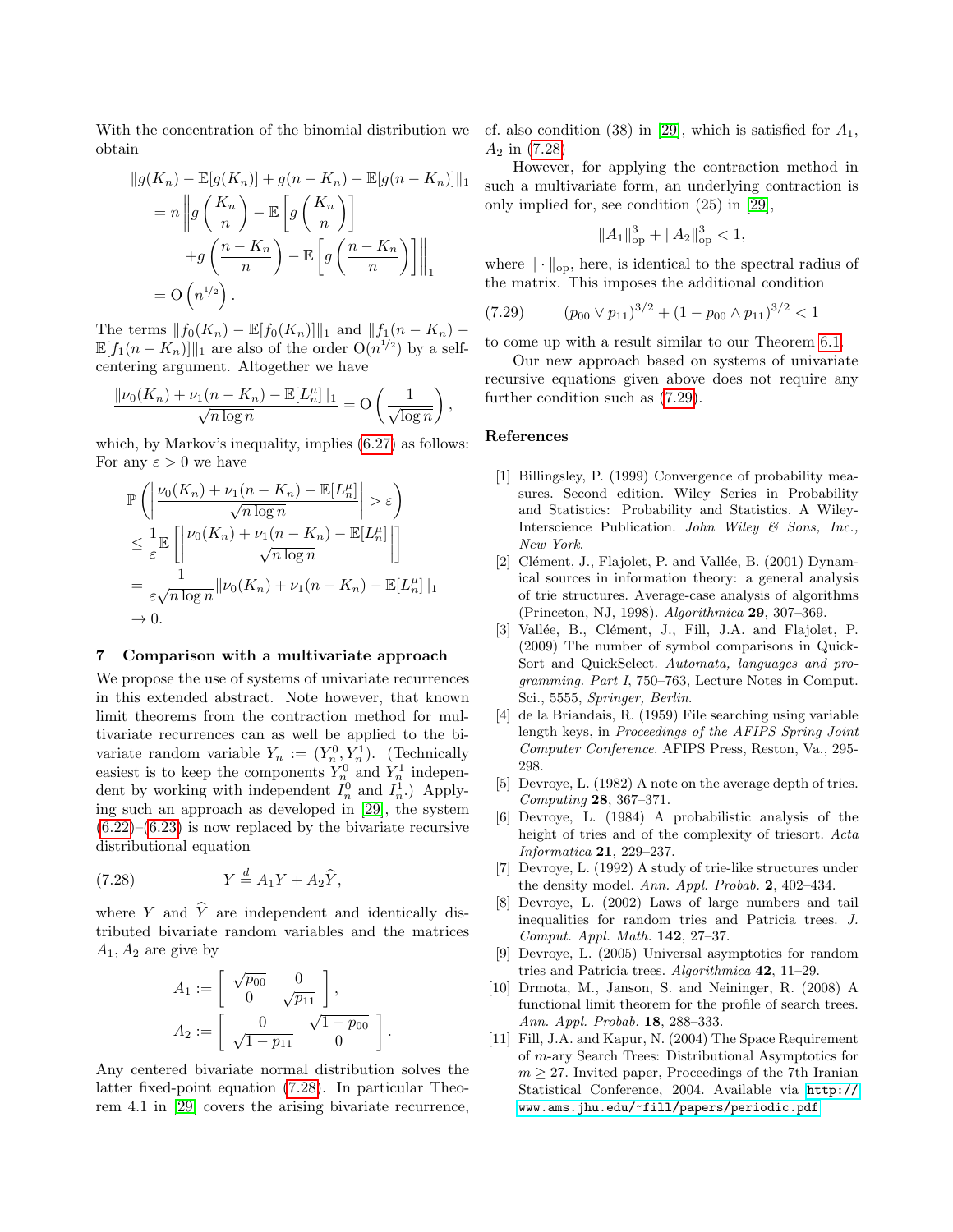With the concentration of the binomial distribution we obtain

$$
||g(K_n) - \mathbb{E}[g(K_n)] + g(n - K_n) - \mathbb{E}[g(n - K_n)]||_1
$$
  
=  $n ||g\left(\frac{K_n}{n}\right) - \mathbb{E}\left[g\left(\frac{K_n}{n}\right)\right]$   
+ $g\left(\frac{n - K_n}{n}\right) - \mathbb{E}\left[g\left(\frac{n - K_n}{n}\right)\right]||_1$   
=  $O(n^{1/2}).$ 

The terms  $|| f_0(K_n) - \mathbb{E}[f_0(K_n)]||_1$  and  $|| f_1(n - K_n) \mathbb{E}[f_1(n-K_n)]||_1$  are also of the order  $O(n^{1/2})$  by a selfcentering argument. Altogether we have

$$
\frac{\|\nu_0(K_n)+\nu_1(n-K_n)-\mathbb{E}[L_n^{\mu}]\|_1}{\sqrt{n\log n}}=O\left(\frac{1}{\sqrt{\log n}}\right),\,
$$

which, by Markov's inequality, implies  $(6.27)$  as follows: For any  $\varepsilon > 0$  we have

$$
\mathbb{P}\left(\left|\frac{\nu_0(K_n) + \nu_1(n - K_n) - \mathbb{E}[L_n^{\mu}]}{\sqrt{n \log n}}\right| > \varepsilon\right)
$$
  
\n
$$
\leq \frac{1}{\varepsilon} \mathbb{E}\left[\left|\frac{\nu_0(K_n) + \nu_1(n - K_n) - \mathbb{E}[L_n^{\mu}]}{\sqrt{n \log n}}\right|\right]
$$
  
\n
$$
= \frac{1}{\varepsilon \sqrt{n \log n}} ||\nu_0(K_n) + \nu_1(n - K_n) - \mathbb{E}[L_n^{\mu}]]||_1
$$
  
\n
$$
\to 0.
$$

## <span id="page-8-9"></span>7 Comparison with a multivariate approach

We propose the use of systems of univariate recurrences in this extended abstract. Note however, that known limit theorems from the contraction method for multivariate recurrences can as well be applied to the bivariate random variable  $Y_n := (Y_n^0, Y_n^1)$ . (Technically easiest is to keep the components  $Y_n^0$  and  $Y_n^1$  independent by working with independent  $I_n^0$  and  $I_n^1$ .) Applying such an approach as developed in [\[29\]](#page-9-14), the system  $(6.22)$ – $(6.23)$  is now replaced by the bivariate recursive distributional equation

<span id="page-8-11"></span>(7.28) 
$$
Y \stackrel{d}{=} A_1 Y + A_2 \widehat{Y},
$$

where Y and  $\hat{Y}$  are independent and identically distributed bivariate random variables and the matrices  $A_1, A_2$  are give by

$$
A_1 := \begin{bmatrix} \sqrt{p_{00}} & 0 \\ 0 & \sqrt{p_{11}} \end{bmatrix},
$$
  

$$
A_2 := \begin{bmatrix} 0 & \sqrt{1 - p_{00}} \\ \sqrt{1 - p_{11}} & 0 \end{bmatrix}.
$$

Any centered bivariate normal distribution solves the latter fixed-point equation [\(7.28\)](#page-8-11). In particular Theorem 4.1 in [\[29\]](#page-9-14) covers the arising bivariate recurrence,

cf. also condition (38) in [\[29\]](#page-9-14), which is satisfied for  $A_1$ ,  $A_2$  in  $(7.28)$ 

However, for applying the contraction method in such a multivariate form, an underlying contraction is only implied for, see condition (25) in [\[29\]](#page-9-14),

$$
||A_1||_{\text{op}}^3 + ||A_2||_{\text{op}}^3 < 1,
$$

where  $\|\cdot\|_{\text{op}}$ , here, is identical to the spectral radius of the matrix. This imposes the additional condition

<span id="page-8-12"></span>
$$
(7.29) \qquad (p_{00} \lor p_{11})^{3/2} + (1 - p_{00} \land p_{11})^{3/2} < 1
$$

to come up with a result similar to our Theorem [6.1.](#page-5-0)

Our new approach based on systems of univariate recursive equations given above does not require any further condition such as [\(7.29\)](#page-8-12).

## References

- <span id="page-8-10"></span>[1] Billingsley, P. (1999) Convergence of probability measures. Second edition. Wiley Series in Probability and Statistics: Probability and Statistics. A Wiley-Interscience Publication. John Wiley & Sons, Inc., New York.
- <span id="page-8-0"></span>[2] Clément, J., Flajolet, P. and Vallée, B.  $(2001)$  Dynamical sources in information theory: a general analysis of trie structures. Average-case analysis of algorithms (Princeton, NJ, 1998). Algorithmica 29, 307–369.
- <span id="page-8-6"></span>[3] Vallée, B., Clément, J., Fill, J.A. and Flajolet, P. (2009) The number of symbol comparisons in Quick-Sort and QuickSelect. Automata, languages and programming. Part I, 750–763, Lecture Notes in Comput. Sci., 5555, Springer, Berlin.
- [4] de la Briandais, R. (1959) File searching using variable length keys, in Proceedings of the AFIPS Spring Joint Computer Conference. AFIPS Press, Reston, Va., 295- 298.
- <span id="page-8-1"></span>[5] Devroye, L. (1982) A note on the average depth of tries. Computing 28, 367–371.
- <span id="page-8-2"></span>[6] Devroye, L. (1984) A probabilistic analysis of the height of tries and of the complexity of triesort. Acta Informatica 21, 229–237.
- <span id="page-8-3"></span>[7] Devroye, L. (1992) A study of trie-like structures under the density model. Ann. Appl. Probab. 2, 402–434.
- <span id="page-8-4"></span>[8] Devroye, L. (2002) Laws of large numbers and tail inequalities for random tries and Patricia trees. J. Comput. Appl. Math. 142, 27–37.
- <span id="page-8-5"></span>[9] Devroye, L. (2005) Universal asymptotics for random tries and Patricia trees. Algorithmica 42, 11–29.
- <span id="page-8-8"></span>[10] Drmota, M., Janson, S. and Neininger, R. (2008) A functional limit theorem for the profile of search trees. Ann. Appl. Probab. 18, 288–333.
- <span id="page-8-7"></span>[11] Fill, J.A. and Kapur, N. (2004) The Space Requirement of m-ary Search Trees: Distributional Asymptotics for  $m \geq 27$ . Invited paper, Proceedings of the 7<sup>th</sup> Iranian Statistical Conference, 2004. Available via [http://](http://www.ams.jhu.edu/~fill/papers/periodic.pdf) [www.ams.jhu.edu/~fill/papers/periodic.pdf](http://www.ams.jhu.edu/~fill/papers/periodic.pdf)